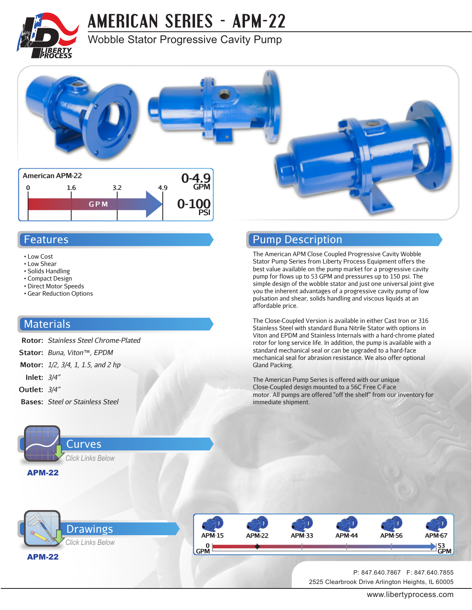

# **[AMERICAN SERIES - APM-22](http://www.libertyprocess.com/american_apm-22_series_pump.html)**

### Wobble Stator Progressive Cavity Pump



Pump Description

affordable price.

Gland Packing.

immediate shipment.

The American APM Close Coupled Progressive Cavity Wobble Stator Pump Series from Liberty Process Equipment offers the best value available on the pump market for a progressive cavity pump for flows up to 53 GPM and pressures up to 150 psi. The simple design of the wobble stator and just one universal joint give you the inherent advantages of a progressive cavity pump of low pulsation and shear, solids handling and viscous liquids at an

The Close-Coupled Version is available in either Cast Iron or 316 Stainless Steel with standard Buna Nitrile Stator with options in Viton and EPDM and Stainless Internals with a hard-chrome plated rotor for long service life. In addition, the pump is available with a standard mechanical seal or can be upgraded to a hard-face mechanical seal for abrasion resistance. We also offer optional

motor. All pumps are offered "off the shelf" from our inventory for

The American Pump Series is offered with our unique Close-Coupled design mounted to a 56C Free C-Face

#### Features

- Low Cost
- Low Shear
- Solids Handling
- Compact Design
- Direct Motor Speeds • Gear Reduction Options

#### **Materials**

- **Rotor:** *Stainless Steel Chrome-Plated*
- **Stator:** *Buna, Viton™, EPDM*
- **Motor:** *1/2, 3/4, 1, 1.5, and 2 hp*
- **Inlet:** *3/4"*
- **Outlet:** *3/4"*
- **Bases:** *Steel or Stainless Steel*



### [APM-22](#page-2-0) Drawings *Click Links Below*



2525 Clearbrook Drive Arlington Heights, IL 60005 P: 847.640.7867 F: 847.640.7855

www.libertyprocess.com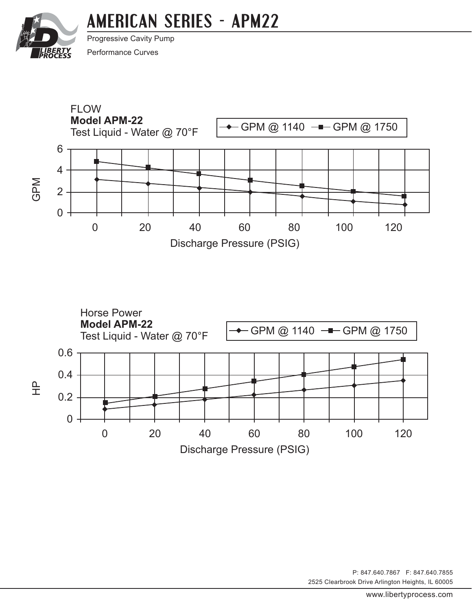# **[AMERICAN SERIES - APM22](http://www.libertyprocess.com/american_apm-22_series_pump.html)**

<span id="page-1-0"></span>

Progressive Cavity Pump Performance Curves





2525 Clearbrook Drive Arlington Heights, IL 60005 P: 847.640.7867 F: 847.640.7855